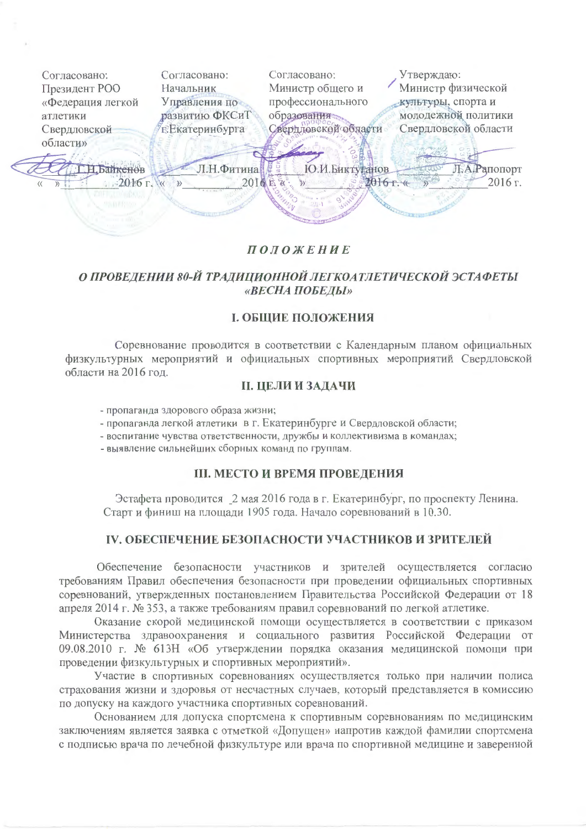

# **ПОЛОЖЕНИЕ**

# О ПРОВЕДЕНИИ 80-Й ТРАДИЦИОННОЙ ЛЕГКОАТЛЕТИЧЕСКОЙ ЭСТАФЕТЫ «ВЕСНА ПОБЕДЫ»

### **І. ОБЩИЕ ПОЛОЖЕНИЯ**

Соревнование проводится в соответствии с Календарным планом официальных физкультурных мероприятий и официальных спортивных мероприятий Свердловской области на 2016 год.

### **II. ЦЕЛИ И ЗАДАЧИ**

- пропаганда здорового образа жизни;
- пропаганда легкой атлетики в г. Екатеринбурге и Свердловской области;
- воспитание чувства ответственности, дружбы и коллективизма в командах;
- выявление сильнейших сборных команд по группам.

#### **III. МЕСТО И ВРЕМЯ ПРОВЕДЕНИЯ**

Эстафета проводится 2 мая 2016 года в г. Екатеринбург, по проспекту Ленина. Старт и финиш на площади 1905 года. Начало соревнований в 10.30.

# **IV. ОБЕСПЕЧЕНИЕ БЕЗОПАСНОСТИ УЧАСТНИКОВ И ЗРИТЕЛЕЙ**

Обеспечение безопасности участников и зрителей осуществляется согласно требованиям Правил обеспечения безопасности при проведении официальных спортивных соревнований, утвержденных постановлением Правительства Российской Федерации от 18 апреля 2014 г. № 353, а также требованиям правил соревнований по легкой атлетике.

Оказание скорой медицинской помощи осуществляется в соответствии с приказом Министерства здравоохранения и социального развития Российской Федерации от 09.08.2010 г. № 613Н «Об утверждении порядка оказания медицинской помощи при проведении физкультурных и спортивных мероприятий».

Участие в спортивных соревнованиях осуществляется только при наличии полиса страхования жизни и здоровья от несчастных случаев, который представляется в комиссию по допуску на каждого участника спортивных соревнований.

Основанием для допуска спортсмена к спортивным соревнованиям по медицинским заключениям является заявка с отметкой «Допущен» напротив каждой фамилии спортсмена с подписью врача по лечебной физкультуре или врача по спортивной медицине и заверенной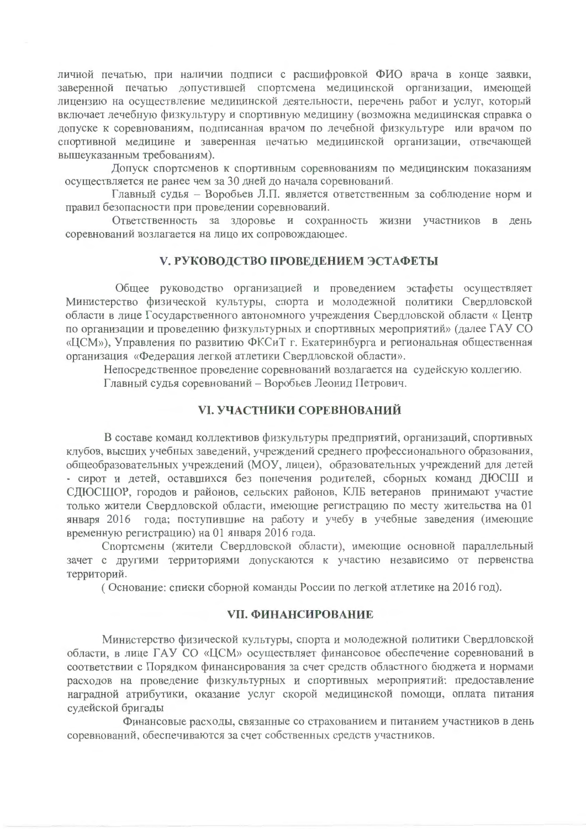личной печатью, при наличии подписи с расшифровкой ФИО врача в конце заявки, заверенной печатью допустившей спортсмена медицинской организации, имеющей лицензию на осуществление медицинской деятельности, перечень работ и услуг, который включает лечебную физкультуру и спортивную медицину (возможна медицинская справка о допуске к соревнованиям, подписанная врачом по лечебной физкультуре или врачом по спортивной медицине и заверенная печатью медицинской организации, отвечающей вышеуказанным требованиям).

Допуск спортсменов к спортивным соревнованиям по медицинским показаниям осуществляется не ранее чем за 30 дней до начала соревнований.

Главный судья - Воробьев Л.П. является ответственным за соблюдение норм и правил безопасности при проведении соревнований.

Ответственность за здоровье и сохранность жизни участников в день соревнований возлагается на лицо их сопровождающее.

### **V. РУКОВОДСТВО ПРОВЕДЕНИЕМ ЭСТАФЕТЫ**

Общее руководство организацией и проведением эстафеты осуществляет Министерство физической культуры, спорта и молодежной политики Свердловской области в лице Государственного автономного учреждения Свердловской области « Центр по организации и проведению физкультурных и спортивных мероприятий» (далее ГАУ СО «ЦСМ»), Управления по развитию ФКСиТ г. Екатеринбурга и региональная общественная организация «Федерация легкой атлетики Свердловской области».

Непосредственное проведение соревнований возлагается на судейскую коллегию. Главный судья соревнований - Воробьев Леонид Петрович.

### **VI. УЧАСТНИКИ СОРЕВНОВАНИЙ**

В составе команд коллективов физкультуры предприятий, организаций, спортивных клубов, высших учебных заведений, учреждений среднего профессионального образования, общеобразовательных учреждений (МОУ, лицеи), образовательных учреждений для детей - сирот и детей, оставшихся без попечения родителей, сборных команд ДЮСШ и СЛЮСШОР, городов и районов, сельских районов. КЛБ ветеранов принимают участие только жители Свердловской области, имеющие регистрацию по месту жительства на 01 января 2016 года; поступившие на работу и учебу в учебные заведения (имеющие временную регистрацию) на 01 января 2016 года.

Спортсмены (жители Свердловской области), имеющие основной параллельный зачет с другими территориями допускаются к участию независимо от первенства территорий.

(Основание: списки сборной команды России по легкой атлетике на 2016 год).

#### **VII. ФИНАНСИРОВАНИЕ**

Министерство физической культуры, спорта и молодежной политики Свердловской области, в лице ГАУ СО «ЦСМ» осуществляет финансовое обеспечение соревнований в соответствии с Порядком финансирования за счет средств областного бюджета и нормами расходов на проведение физкультурных и спортивных мероприятий: предоставление наградной атрибутики, оказание услуг скорой медицинской помощи, оплата питания судейской бригады

Финансовые расходы, связанные со страхованием и питанием участников в день соревнований, обеспечиваются за счет собственных средств участников.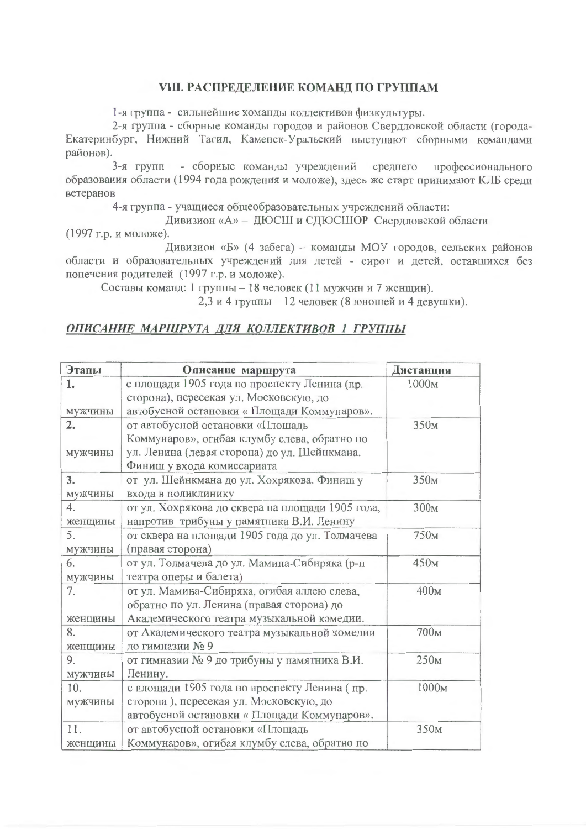### **VIII. РАСПРЕДЕЛЕНИЕ КОМАНД ПО ГРУППАМ**

1-я группа - сильнейшие команды коллективов физкультуры.

2-я группа - сборные команды городов и районов Свердловской области (города-Екатеринбург, Нижний Тагил, Каменск-Уральский выступают сборными командами районов).

3-я групп - сборные команды учреждений среднего профессионального образования области (1994 года рождения и моложе), здесь же старт принимают КЛБ среди ветеранов

4-я группа - учащиеся общеобразовательных учреждений области:

Дивизион «А» - ДЮСШ и СДЮСШОР Свердловской области

(1997 г.р. и моложе).

Дивизион «Б» (4 забега) - команды МОУ городов, сельских районов области и образовательных учреждений для детей - сирот и детей, оставшихся без попечения родителей (1997 г.р. и моложе).

Составы команд: 1 группы - 18 человек (11 мужчин и 7 женщин).

2.3 и 4 группы - 12 человек (8 юношей и 4 девушки).

### ОПИСАНИЕ МАРШРУТА ДЛЯ КОЛЛЕКТИВОВ 1 ГРУППЫ

| Этапы   | Описание маршрута                                | Дистанция        |
|---------|--------------------------------------------------|------------------|
| 1.      | с площади 1905 года по проспекту Ленина (пр.     | 1000м            |
|         | сторона), пересекая ул. Московскую, до           |                  |
| мужчины | автобусной остановки « Площади Коммунаров».      |                  |
| 2.      | от автобусной остановки «Площадь                 | 350 <sub>M</sub> |
|         | Коммунаров», огибая клумбу слева, обратно по     |                  |
| мужчины | ул. Ленина (левая сторона) до ул. Шейнкмана.     |                  |
|         | Финиш у входа комиссариата                       |                  |
| 3.      | от ул. Шейнкмана до ул. Хохрякова. Финиш у       | 350 <sub>M</sub> |
| мужчины | входа в поликлинику                              |                  |
| 4.      | от ул. Хохрякова до сквера на площади 1905 года, | 300 <sub>M</sub> |
| женщины | напротив трибуны у памятника В.И. Ленину         |                  |
| 5.      | от сквера на площади 1905 года до ул. Толмачева  | 750 <sub>M</sub> |
| мужчины | (правая сторона)                                 |                  |
| 6.      | от ул. Толмачева до ул. Мамина-Сибиряка (р-н     | 450 <sub>M</sub> |
| мужчины | театра оперы и балета)                           |                  |
| 7.      | от ул. Мамина-Сибиряка, огибая аллею слева,      | 400м             |
|         | обратно по ул. Ленина (правая сторона) до        |                  |
| женщины | Академического театра музыкальной комедии.       |                  |
| 8.      | от Академического театра музыкальной комедии     | 700м             |
| женщины | до гимназии № 9                                  |                  |
| 9.      | от гимназии № 9 до трибуны у памятника В.И.      | 250 <sub>M</sub> |
| мужчины | Ленину.                                          |                  |
| 10.     | с площади 1905 года по проспекту Ленина (пр.     | 1000м            |
| мужчины | сторона), пересекая ул. Московскую, до           |                  |
|         | автобусной остановки « Площади Коммунаров».      |                  |
| 11.     | от автобусной остановки «Площадь                 | 350 <sub>M</sub> |
| женщины | Коммунаров», огибая клумбу слева, обратно по     |                  |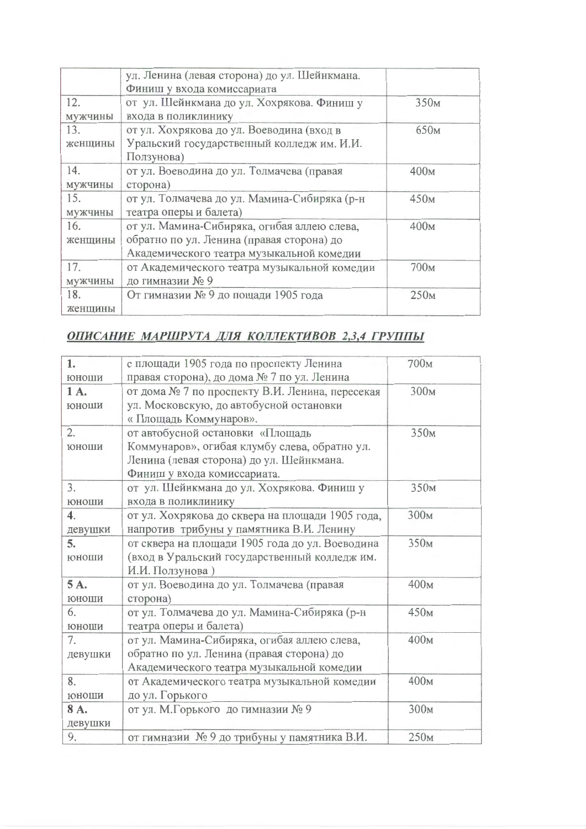|         | ул. Ленина (левая сторона) до ул. Шейнкмана. |                  |
|---------|----------------------------------------------|------------------|
|         | Финиш у входа комиссариата                   |                  |
| 12.     | от ул. Шейнкмана до ул. Хохрякова. Финиш у   | 350 <sub>M</sub> |
| мужчины | входа в поликлинику                          |                  |
| 13.     | от ул. Хохрякова до ул. Воеводина (вход в    | 650 <sub>M</sub> |
| женщины | Уральский государственный колледж им. И.И.   |                  |
|         | Ползунова)                                   |                  |
| 14.     | от ул. Воеводина до ул. Толмачева (правая    | 400M             |
| мужчины | сторона)                                     |                  |
| 15.     | от ул. Толмачева до ул. Мамина-Сибиряка (р-н | 450 <sub>M</sub> |
| мужчины | театра оперы и балета)                       |                  |
| 16.     | от ул. Мамина-Сибиряка, огибая аллею слева,  | 400м             |
| женщины | обратно по ул. Ленина (правая сторона) до    |                  |
|         | Академического театра музыкальной комедии    |                  |
| 17.     | от Академического театра музыкальной комедии | 700 <sub>M</sub> |
| мужчины | до гимназии № 9                              |                  |
| 18.     | От гимназии № 9 до пощади 1905 года          | 250 <sub>M</sub> |
| женщины |                                              |                  |

# ОПИСАНИЕ МАРШРУТА ДЛЯ КОЛЛЕКТИВОВ 2,3,4 ГРУППЫ

| 1.               | с площади 1905 года по проспекту Ленина          | 700м             |
|------------------|--------------------------------------------------|------------------|
| юноши            | правая сторона), до дома № 7 по ул. Ленина       |                  |
| 1A.              | от дома № 7 по проспекту В.И. Ленина, пересекая  | 300м             |
| юноши            | ул. Московскую, до автобусной остановки          |                  |
|                  | « Площадь Коммунаров».                           |                  |
| 2.               | от автобусной остановки «Площадь                 | 350 <sub>M</sub> |
| юноши            | Коммунаров», огибая клумбу слева, обратно ул.    |                  |
|                  | Ленина (левая сторона) до ул. Шейнкмана.         |                  |
|                  | Финиш у входа комиссариата.                      |                  |
| 3.               | от ул. Шейнкмана до ул. Хохрякова. Финиш у       | 350 <sub>M</sub> |
| юноши            | входа в поликлинику                              |                  |
| $\overline{4}$ . | от ул. Хохрякова до сквера на площади 1905 года, | 300 <sub>M</sub> |
| девушки          | напротив трибуны у памятника В.И. Ленину         |                  |
| 5.               | от сквера на площади 1905 года до ул. Воеводина  | 350 <sub>M</sub> |
| юноши            | (вход в Уральский государственный колледж им.    |                  |
|                  | И.И. Ползунова)                                  |                  |
| 5A.              | от ул. Воеводина до ул. Толмачева (правая        | 400м             |
| юноши            | сторона)                                         |                  |
| 6.               | от ул. Толмачева до ул. Мамина-Сибиряка (р-н     | 450 <sub>M</sub> |
| юноши            | театра оперы и балета)                           |                  |
| 7.               | от ул. Мамина-Сибиряка, огибая аллею слева,      | 400м             |
| девушки          | обратно по ул. Ленина (правая сторона) до        |                  |
|                  | Академического театра музыкальной комедии        |                  |
| 8.               | от Академического театра музыкальной комедии     | 400м             |
| юноши            | до ул. Горького                                  |                  |
| 8A.              | от ул. М.Горького до гимназии №9                 | 300 <sub>M</sub> |
| девушки          |                                                  |                  |
| 9.               | от гимназии № 9 до трибуны у памятника В.И.      | 250 <sub>M</sub> |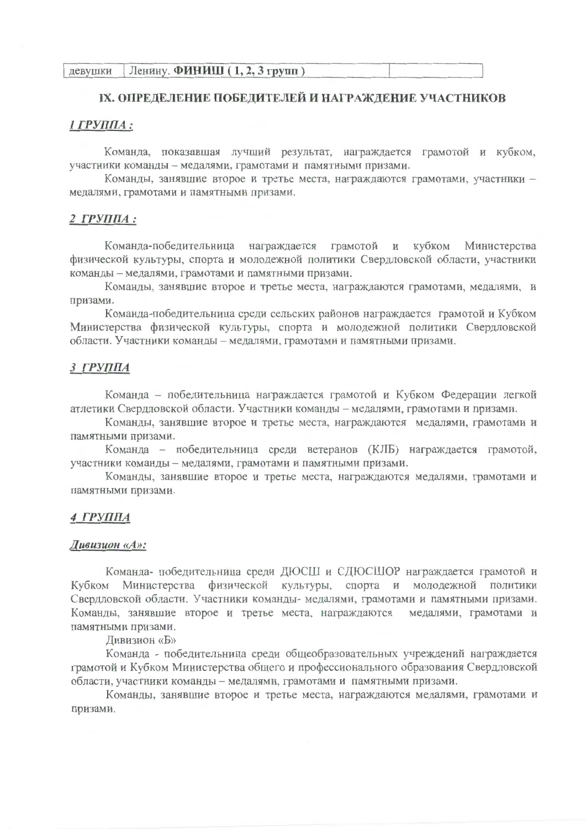### IX. ОПРЕДЕЛЕНИЕ ПОБЕДИТЕЛЕЙ И НАГРАЖДЕНИЕ УЧАСТНИКОВ

#### 1 ГРУППА:

Команда, показавшая лучший результат, награждается грамотой и кубком, участники команды - медалями, грамотами и памятными призами.

Команды, занявшие второе и третье места, награждаются грамотами, участники медалями, грамотами и памятными призами.

#### 2 ГРУППА:

Министерства Команда-победительница награждается грамотой и кубком физической культуры, спорта и молодежной политики Свердловской области, участники команды - медалями, грамотами и памятными призами.

Команды, занявшие второе и третье места, награждаются грамотами, медалями, и призами.

Команда-победительница среди сельских районов награждается грамотой и Кубком Министерства физической культуры, спорта и молодежной политики Свердловской области. Участники команды - медалями, грамотами и памятными призами.

#### **3 ГРУППА**

Команда - победительница награждается грамотой и Кубком Федерации легкой атлетики Свердловской области. Участники команды - медалями, грамотами и призами.

Команды, занявшие второе и третье места, награждаются медалями, грамотами и памятными призами.

Команда - победительница среди ветеранов (КЛБ) награждается грамотой, участники команды - медалями, грамотами и памятными призами.

Команды, занявшие второе и третье места, награждаются медалями, грамотами и памятными призами.

#### 4 ГРУППА

#### Дивизион «А»:

Команда- победительница среди ДЮСШ и СДЮСШОР награждается грамотой и Кубком Министерства физической культуры, спорта и молодежной политики Свердловской области. Участники команды- медалями, грамотами и памятными призами. Команды, занявшие второе и третье места, награждаются медалями, грамотами и памятными призами.

Дивизион «Б»

Команда - победительница среди общеобразовательных учреждений награждается грамотой и Кубком Министерства общего и профессионального образования Свердловской области, участники команды - медалями, грамотами и памятными призами.

Команды, занявшие второе и третье места, награждаются медалями, грамотами и призами.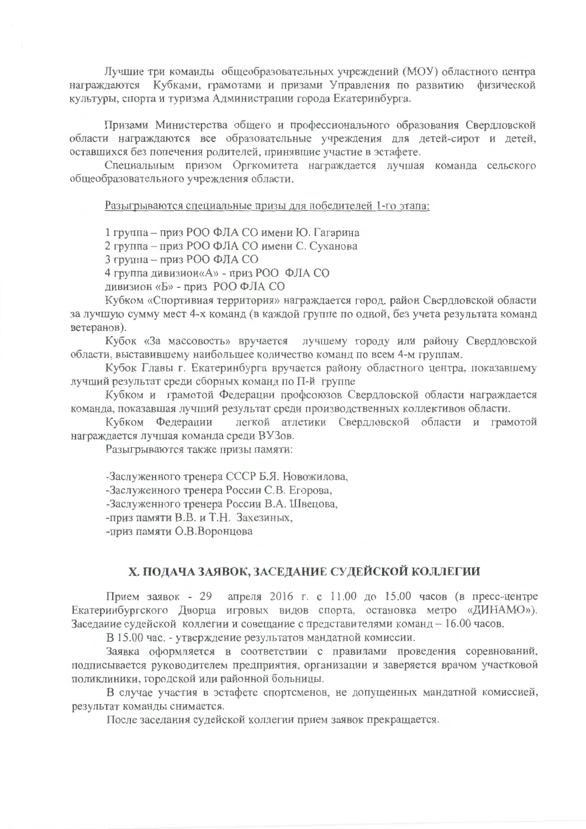Лучшие три команды общеобразовательных учреждений (МОУ) областного центра награждаются Кубками, грамотами и призами Управления по развитию физической культуры, спорта и туризма Администрации города Екатеринбурга.

Призами Министерства общего и профессионального образования Свердловской области награждаются все образовательные учреждения для детей-сирот и детей, оставшихся без попечения родителей, принявшие участие в эстафете.

Специальным призом Оргкомитета награждается лучшая команда сельского общеобразовательного учреждения области.

Разыгрываются специальные призы для победителей 1-го этапа:

1 группа – приз РОО ФЛА СО имени Ю. Гагарина

2 группа - приз РОО ФЛА СО имени С. Суханова

3 группа - приз РОО ФЛА СО

4 группа дивизион«А» - приз РОО ФЛА СО

дивизион «Б» - приз РОО ФЛА СО

Кубком «Спортивная территория» награждается город, район Свердловской области за лучшую сумму мест 4-х команд (в каждой группе по одной, без учета результата команд ветеранов).

Кубок «За массовость» вручается лучшему городу или району Свердловской области, выставившему наибольшее количество команд по всем 4-м группам.

Кубок Главы г. Екатеринбурга вручается району областного центра, показавшему лучший результат среди сборных команд по П-й группе

Кубком и грамотой Федерации профсоюзов Свердловской области награждается команда, показавшая лучший результат среди производственных коллективов области.

Кубком Федерации легкой атлетики Свердловской области и грамотой награждается лучшая команда среди ВУЗов.

Разыгрываются также призы памяти:

-Заслуженного тренера СССР Б.Я. Новожилова,

-Заслуженного тренера России С.В. Егорова,

-Заслуженного тренера России В.А. Швецова,

-приз памяти В.В. и Т.Н. Захезиных,

-приз памяти О.В.Воронцова

## Х. ПОДАЧА ЗАЯВОК, ЗАСЕДАНИЕ СУДЕЙСКОЙ КОЛЛЕГИИ

Прием заявок - 29 апреля 2016 г. с 11.00 до 15.00 часов (в пресс-центре Екатеринбургского Дворца игровых видов спорта, остановка метро «ДИНАМО»). Заседание судейской коллегии и совещание с представителями команд - 16.00 часов.

В 15.00 час. - утверждение результатов мандатной комиссии.

Заявка оформляется в соответствии с правилами проведения соревнований, подписывается руководителем предприятия, организации и заверяется врачом участковой поликлиники, городской или районной больницы.

В случае участия в эстафете спортсменов, не допущенных мандатной комиссией, результат команды снимается.

После заседания судейской коллегии прием заявок прекращается.